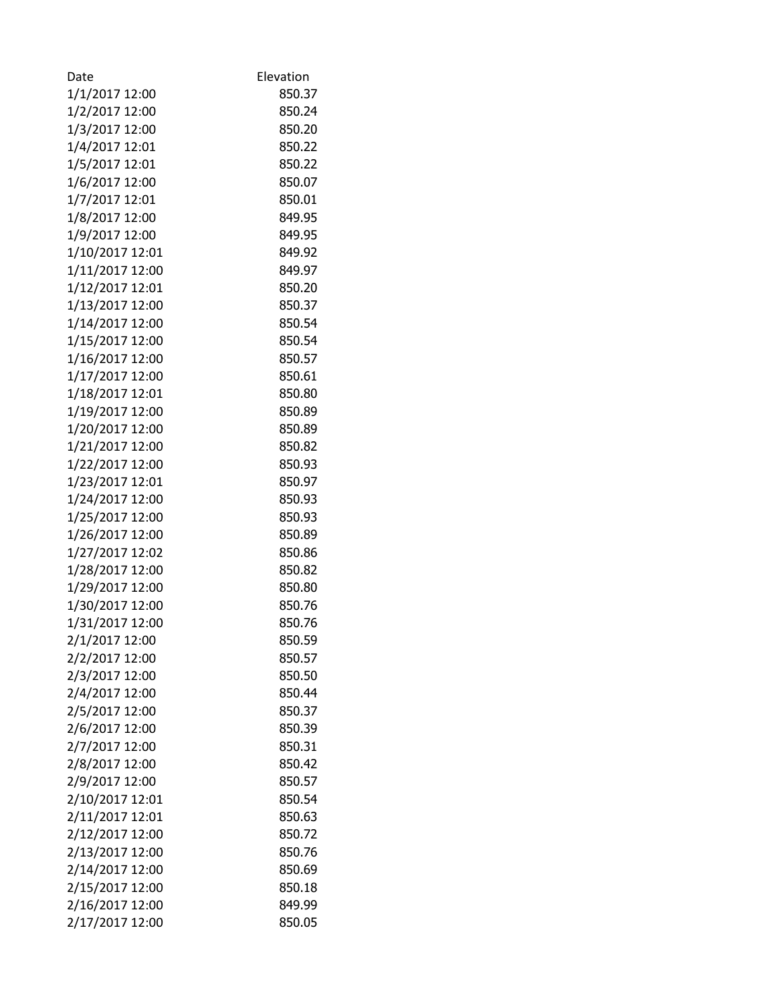| Date            | Elevation |
|-----------------|-----------|
| 1/1/2017 12:00  | 850.37    |
| 1/2/2017 12:00  | 850.24    |
| 1/3/2017 12:00  | 850.20    |
| 1/4/2017 12:01  | 850.22    |
| 1/5/2017 12:01  | 850.22    |
| 1/6/2017 12:00  | 850.07    |
| 1/7/2017 12:01  | 850.01    |
| 1/8/2017 12:00  | 849.95    |
| 1/9/2017 12:00  | 849.95    |
| 1/10/2017 12:01 | 849.92    |
| 1/11/2017 12:00 | 849.97    |
| 1/12/2017 12:01 | 850.20    |
| 1/13/2017 12:00 | 850.37    |
| 1/14/2017 12:00 | 850.54    |
| 1/15/2017 12:00 | 850.54    |
| 1/16/2017 12:00 | 850.57    |
| 1/17/2017 12:00 | 850.61    |
| 1/18/2017 12:01 | 850.80    |
| 1/19/2017 12:00 | 850.89    |
| 1/20/2017 12:00 | 850.89    |
| 1/21/2017 12:00 | 850.82    |
| 1/22/2017 12:00 | 850.93    |
| 1/23/2017 12:01 | 850.97    |
| 1/24/2017 12:00 | 850.93    |
| 1/25/2017 12:00 | 850.93    |
| 1/26/2017 12:00 | 850.89    |
| 1/27/2017 12:02 | 850.86    |
| 1/28/2017 12:00 | 850.82    |
| 1/29/2017 12:00 | 850.80    |
| 1/30/2017 12:00 | 850.76    |
| 1/31/2017 12:00 | 850.76    |
| 2/1/2017 12:00  | 850.59    |
| 2/2/2017 12:00  | 850.57    |
| 2/3/2017 12:00  | 850.50    |
| 2/4/2017 12:00  | 850.44    |
| 2/5/2017 12:00  | 850.37    |
| 2/6/2017 12:00  | 850.39    |
| 2/7/2017 12:00  | 850.31    |
| 2/8/2017 12:00  | 850.42    |
| 2/9/2017 12:00  | 850.57    |
| 2/10/2017 12:01 | 850.54    |
| 2/11/2017 12:01 | 850.63    |
| 2/12/2017 12:00 | 850.72    |
| 2/13/2017 12:00 | 850.76    |
| 2/14/2017 12:00 | 850.69    |
| 2/15/2017 12:00 | 850.18    |
| 2/16/2017 12:00 | 849.99    |
| 2/17/2017 12:00 | 850.05    |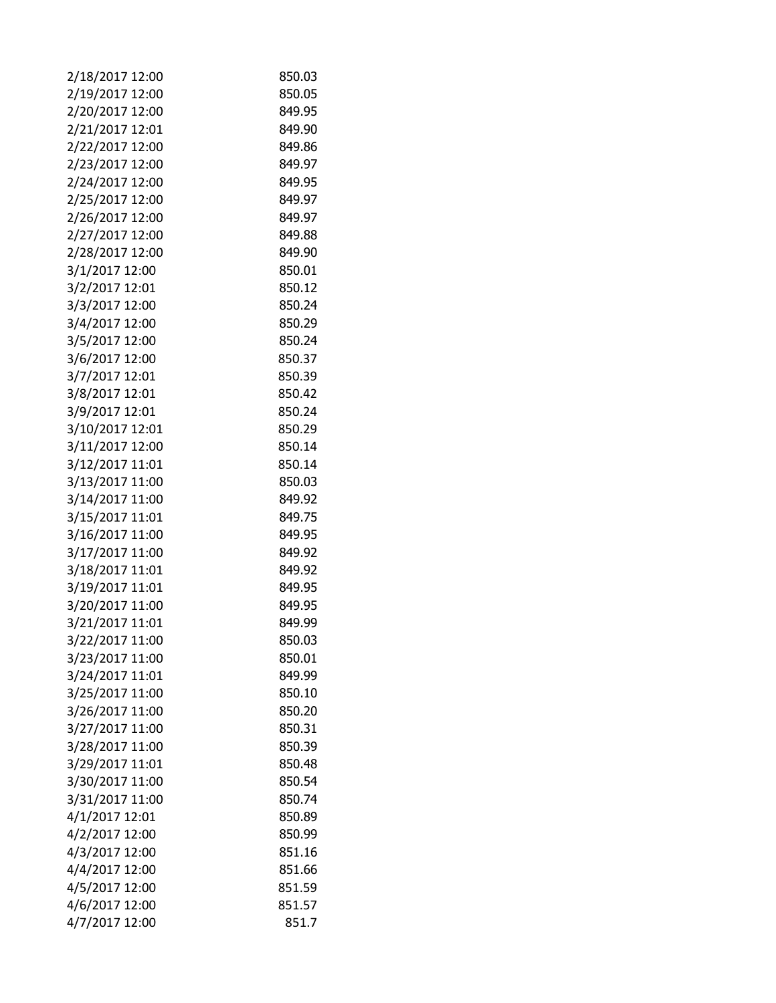| 2/18/2017 12:00 | 850.03 |
|-----------------|--------|
| 2/19/2017 12:00 | 850.05 |
| 2/20/2017 12:00 | 849.95 |
| 2/21/2017 12:01 | 849.90 |
| 2/22/2017 12:00 | 849.86 |
| 2/23/2017 12:00 | 849.97 |
| 2/24/2017 12:00 | 849.95 |
| 2/25/2017 12:00 | 849.97 |
| 2/26/2017 12:00 | 849.97 |
| 2/27/2017 12:00 | 849.88 |
| 2/28/2017 12:00 | 849.90 |
| 3/1/2017 12:00  | 850.01 |
| 3/2/2017 12:01  | 850.12 |
| 3/3/2017 12:00  | 850.24 |
| 3/4/2017 12:00  | 850.29 |
| 3/5/2017 12:00  | 850.24 |
| 3/6/2017 12:00  | 850.37 |
| 3/7/2017 12:01  | 850.39 |
| 3/8/2017 12:01  | 850.42 |
| 3/9/2017 12:01  | 850.24 |
| 3/10/2017 12:01 | 850.29 |
| 3/11/2017 12:00 | 850.14 |
| 3/12/2017 11:01 | 850.14 |
| 3/13/2017 11:00 | 850.03 |
| 3/14/2017 11:00 | 849.92 |
| 3/15/2017 11:01 | 849.75 |
| 3/16/2017 11:00 | 849.95 |
| 3/17/2017 11:00 | 849.92 |
| 3/18/2017 11:01 | 849.92 |
| 3/19/2017 11:01 | 849.95 |
| 3/20/2017 11:00 | 849.95 |
| 3/21/2017 11:01 | 849.99 |
| 3/22/2017 11:00 | 850.03 |
| 3/23/2017 11:00 | 850.01 |
| 3/24/2017 11:01 | 849.99 |
| 3/25/2017 11:00 | 850.10 |
| 3/26/2017 11:00 | 850.20 |
| 3/27/2017 11:00 | 850.31 |
| 3/28/2017 11:00 | 850.39 |
| 3/29/2017 11:01 | 850.48 |
| 3/30/2017 11:00 | 850.54 |
| 3/31/2017 11:00 | 850.74 |
| 4/1/2017 12:01  | 850.89 |
| 4/2/2017 12:00  | 850.99 |
| 4/3/2017 12:00  | 851.16 |
| 4/4/2017 12:00  | 851.66 |
| 4/5/2017 12:00  | 851.59 |
| 4/6/2017 12:00  | 851.57 |
| 4/7/2017 12:00  | 851.7  |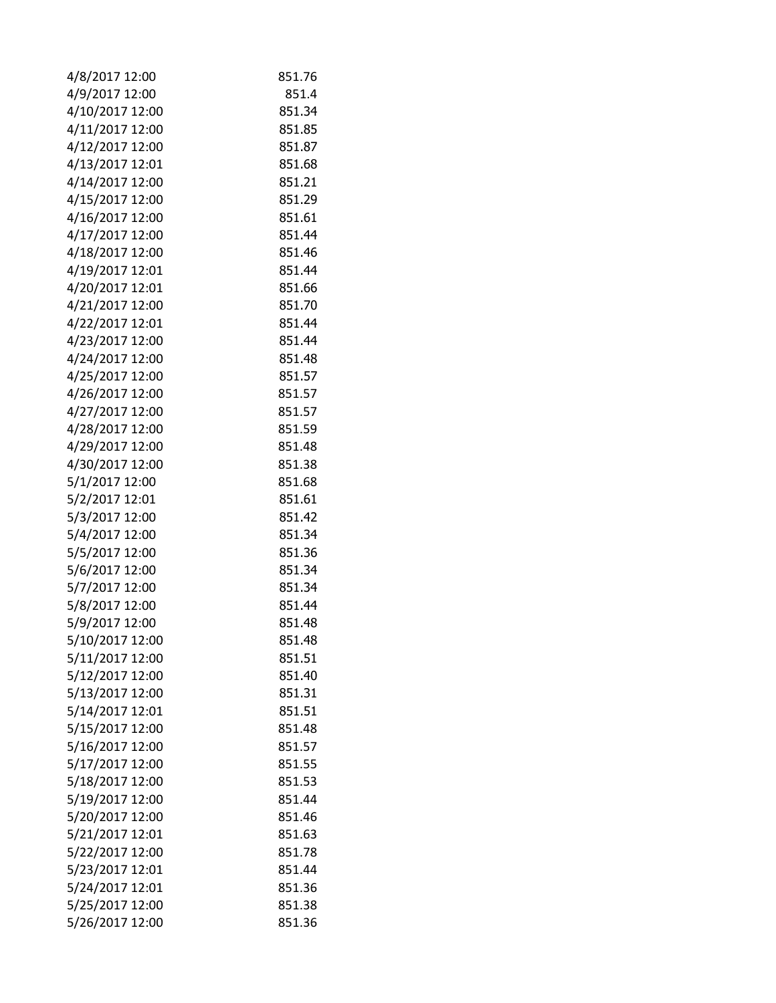| 4/8/2017 12:00  | 851.76 |
|-----------------|--------|
| 4/9/2017 12:00  | 851.4  |
| 4/10/2017 12:00 | 851.34 |
| 4/11/2017 12:00 | 851.85 |
| 4/12/2017 12:00 | 851.87 |
| 4/13/2017 12:01 | 851.68 |
| 4/14/2017 12:00 | 851.21 |
| 4/15/2017 12:00 | 851.29 |
| 4/16/2017 12:00 | 851.61 |
| 4/17/2017 12:00 | 851.44 |
| 4/18/2017 12:00 | 851.46 |
| 4/19/2017 12:01 | 851.44 |
| 4/20/2017 12:01 | 851.66 |
| 4/21/2017 12:00 | 851.70 |
| 4/22/2017 12:01 | 851.44 |
| 4/23/2017 12:00 | 851.44 |
| 4/24/2017 12:00 | 851.48 |
| 4/25/2017 12:00 | 851.57 |
| 4/26/2017 12:00 | 851.57 |
| 4/27/2017 12:00 | 851.57 |
| 4/28/2017 12:00 | 851.59 |
|                 | 851.48 |
| 4/29/2017 12:00 | 851.38 |
| 4/30/2017 12:00 | 851.68 |
| 5/1/2017 12:00  |        |
| 5/2/2017 12:01  | 851.61 |
| 5/3/2017 12:00  | 851.42 |
| 5/4/2017 12:00  | 851.34 |
| 5/5/2017 12:00  | 851.36 |
| 5/6/2017 12:00  | 851.34 |
| 5/7/2017 12:00  | 851.34 |
| 5/8/2017 12:00  | 851.44 |
| 5/9/2017 12:00  | 851.48 |
| 5/10/2017 12:00 | 851.48 |
| 5/11/2017 12:00 | 851.51 |
| 5/12/2017 12:00 | 851.40 |
| 5/13/2017 12:00 | 851.31 |
| 5/14/2017 12:01 | 851.51 |
| 5/15/2017 12:00 | 851.48 |
| 5/16/2017 12:00 | 851.57 |
| 5/17/2017 12:00 | 851.55 |
| 5/18/2017 12:00 | 851.53 |
| 5/19/2017 12:00 | 851.44 |
| 5/20/2017 12:00 | 851.46 |
| 5/21/2017 12:01 | 851.63 |
| 5/22/2017 12:00 | 851.78 |
| 5/23/2017 12:01 | 851.44 |
| 5/24/2017 12:01 | 851.36 |
| 5/25/2017 12:00 | 851.38 |
| 5/26/2017 12:00 | 851.36 |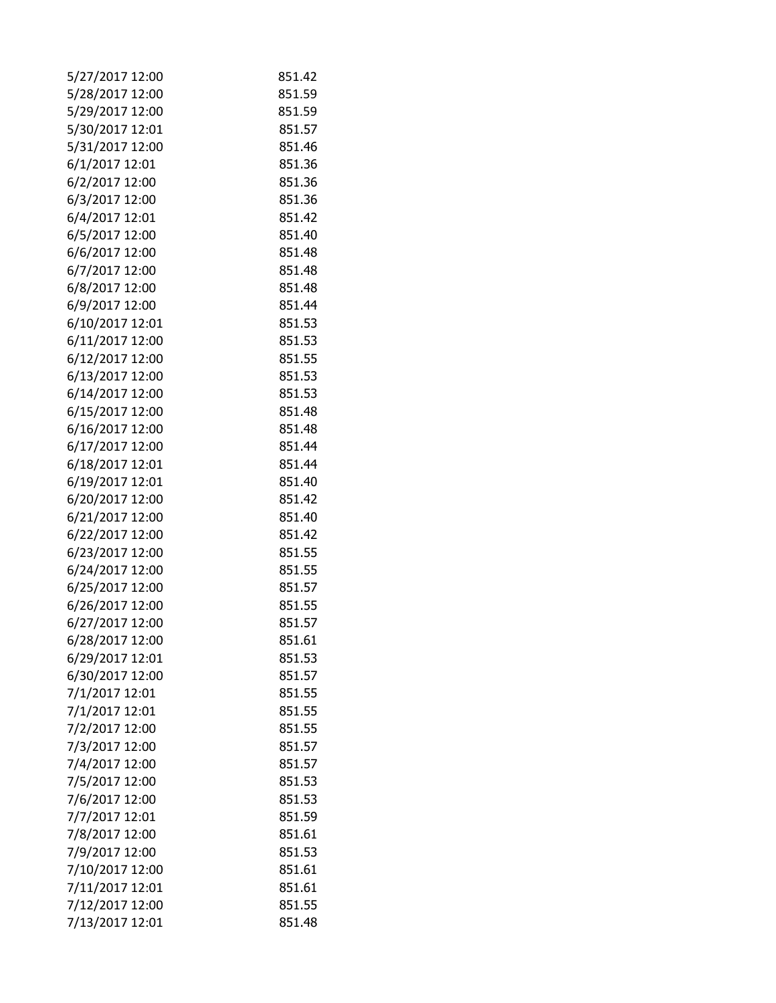| 5/27/2017 12:00 | 851.42 |
|-----------------|--------|
| 5/28/2017 12:00 | 851.59 |
| 5/29/2017 12:00 | 851.59 |
| 5/30/2017 12:01 | 851.57 |
| 5/31/2017 12:00 | 851.46 |
| 6/1/2017 12:01  | 851.36 |
| 6/2/2017 12:00  | 851.36 |
| 6/3/2017 12:00  | 851.36 |
| 6/4/2017 12:01  | 851.42 |
| 6/5/2017 12:00  | 851.40 |
| 6/6/2017 12:00  | 851.48 |
| 6/7/2017 12:00  | 851.48 |
| 6/8/2017 12:00  | 851.48 |
| 6/9/2017 12:00  | 851.44 |
| 6/10/2017 12:01 | 851.53 |
| 6/11/2017 12:00 | 851.53 |
| 6/12/2017 12:00 | 851.55 |
| 6/13/2017 12:00 | 851.53 |
| 6/14/2017 12:00 | 851.53 |
| 6/15/2017 12:00 | 851.48 |
| 6/16/2017 12:00 | 851.48 |
| 6/17/2017 12:00 | 851.44 |
| 6/18/2017 12:01 | 851.44 |
| 6/19/2017 12:01 | 851.40 |
| 6/20/2017 12:00 | 851.42 |
| 6/21/2017 12:00 | 851.40 |
| 6/22/2017 12:00 | 851.42 |
| 6/23/2017 12:00 | 851.55 |
| 6/24/2017 12:00 | 851.55 |
| 6/25/2017 12:00 | 851.57 |
| 6/26/2017 12:00 | 851.55 |
| 6/27/2017 12:00 | 851.57 |
| 6/28/2017 12:00 | 851.61 |
| 6/29/2017 12:01 | 851.53 |
| 6/30/2017 12:00 | 851.57 |
| 7/1/2017 12:01  | 851.55 |
| 7/1/2017 12:01  | 851.55 |
| 7/2/2017 12:00  | 851.55 |
| 7/3/2017 12:00  | 851.57 |
| 7/4/2017 12:00  | 851.57 |
| 7/5/2017 12:00  | 851.53 |
| 7/6/2017 12:00  | 851.53 |
| 7/7/2017 12:01  | 851.59 |
| 7/8/2017 12:00  | 851.61 |
| 7/9/2017 12:00  | 851.53 |
| 7/10/2017 12:00 | 851.61 |
| 7/11/2017 12:01 | 851.61 |
| 7/12/2017 12:00 | 851.55 |
| 7/13/2017 12:01 | 851.48 |
|                 |        |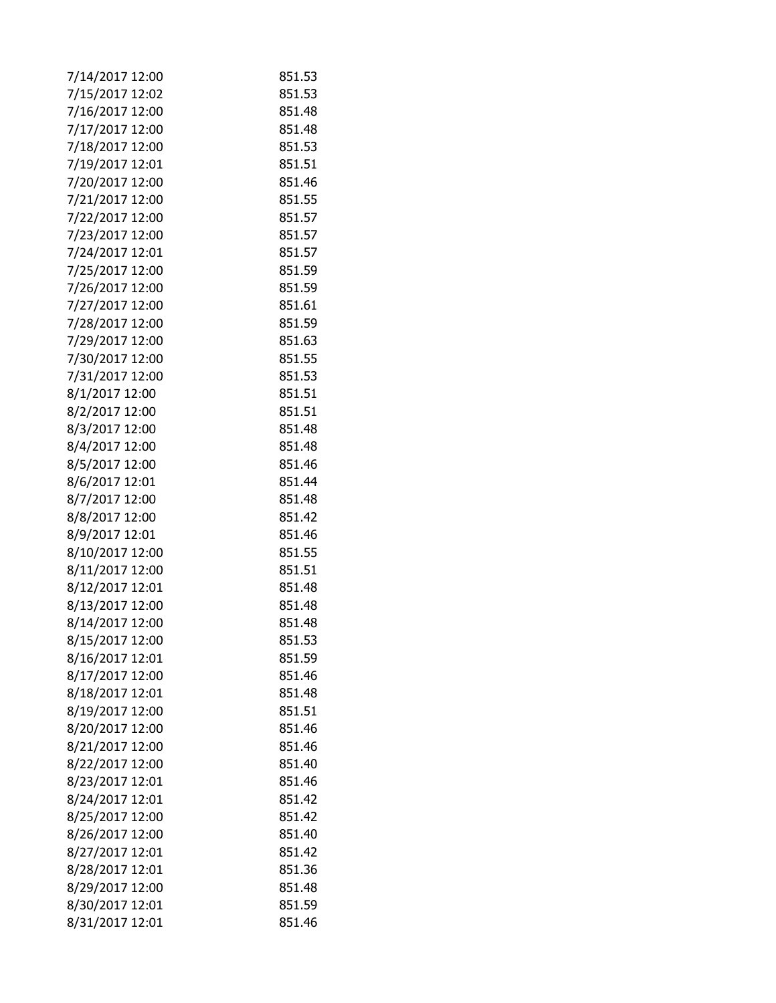| 7/14/2017 12:00 | 851.53 |
|-----------------|--------|
| 7/15/2017 12:02 | 851.53 |
| 7/16/2017 12:00 | 851.48 |
| 7/17/2017 12:00 | 851.48 |
| 7/18/2017 12:00 | 851.53 |
| 7/19/2017 12:01 | 851.51 |
| 7/20/2017 12:00 | 851.46 |
| 7/21/2017 12:00 | 851.55 |
| 7/22/2017 12:00 | 851.57 |
| 7/23/2017 12:00 | 851.57 |
| 7/24/2017 12:01 | 851.57 |
| 7/25/2017 12:00 | 851.59 |
| 7/26/2017 12:00 | 851.59 |
| 7/27/2017 12:00 | 851.61 |
| 7/28/2017 12:00 | 851.59 |
| 7/29/2017 12:00 | 851.63 |
| 7/30/2017 12:00 | 851.55 |
| 7/31/2017 12:00 | 851.53 |
| 8/1/2017 12:00  | 851.51 |
| 8/2/2017 12:00  | 851.51 |
| 8/3/2017 12:00  | 851.48 |
| 8/4/2017 12:00  | 851.48 |
| 8/5/2017 12:00  | 851.46 |
| 8/6/2017 12:01  | 851.44 |
| 8/7/2017 12:00  | 851.48 |
| 8/8/2017 12:00  | 851.42 |
| 8/9/2017 12:01  | 851.46 |
| 8/10/2017 12:00 | 851.55 |
| 8/11/2017 12:00 | 851.51 |
| 8/12/2017 12:01 | 851.48 |
| 8/13/2017 12:00 | 851.48 |
| 8/14/2017 12:00 | 851.48 |
| 8/15/2017 12:00 | 851.53 |
| 8/16/2017 12:01 | 851.59 |
| 8/17/2017 12:00 | 851.46 |
| 8/18/2017 12:01 | 851.48 |
|                 |        |
| 8/19/2017 12:00 | 851.51 |
| 8/20/2017 12:00 | 851.46 |
| 8/21/2017 12:00 | 851.46 |
| 8/22/2017 12:00 | 851.40 |
| 8/23/2017 12:01 | 851.46 |
| 8/24/2017 12:01 | 851.42 |
| 8/25/2017 12:00 | 851.42 |
| 8/26/2017 12:00 | 851.40 |
| 8/27/2017 12:01 | 851.42 |
| 8/28/2017 12:01 | 851.36 |
| 8/29/2017 12:00 | 851.48 |
| 8/30/2017 12:01 | 851.59 |
| 8/31/2017 12:01 | 851.46 |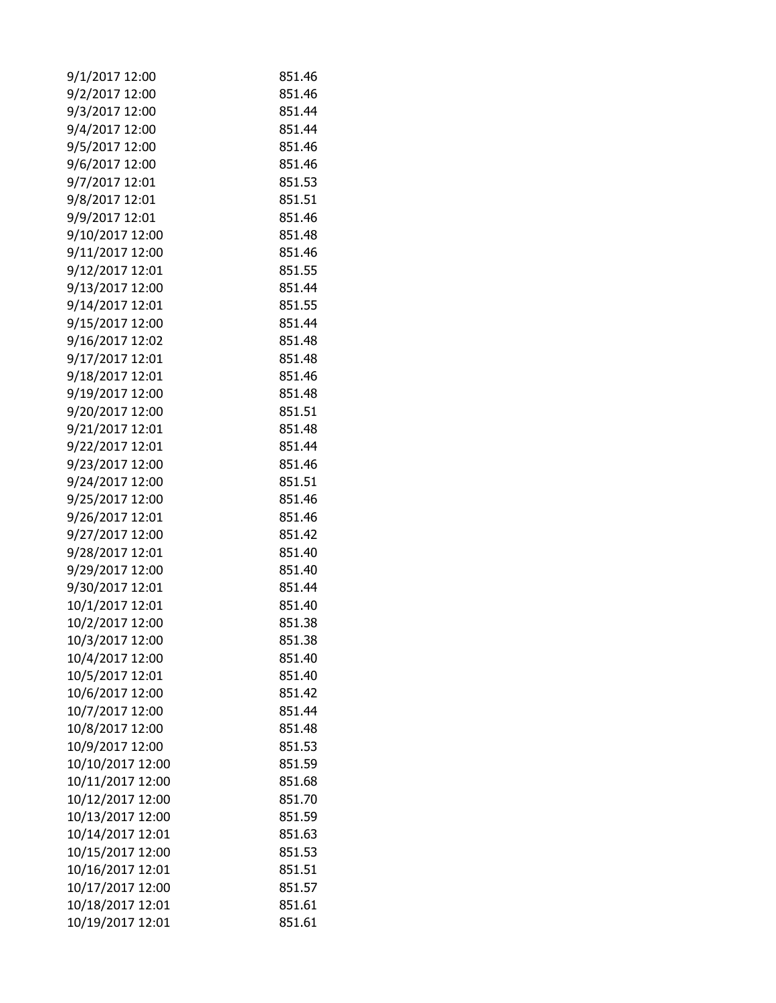| 9/1/2017 12:00   | 851.46 |
|------------------|--------|
| 9/2/2017 12:00   | 851.46 |
| 9/3/2017 12:00   | 851.44 |
| 9/4/2017 12:00   | 851.44 |
| 9/5/2017 12:00   | 851.46 |
| 9/6/2017 12:00   | 851.46 |
| 9/7/2017 12:01   | 851.53 |
| 9/8/2017 12:01   | 851.51 |
| 9/9/2017 12:01   | 851.46 |
| 9/10/2017 12:00  | 851.48 |
| 9/11/2017 12:00  | 851.46 |
| 9/12/2017 12:01  | 851.55 |
| 9/13/2017 12:00  | 851.44 |
| 9/14/2017 12:01  | 851.55 |
| 9/15/2017 12:00  | 851.44 |
| 9/16/2017 12:02  | 851.48 |
| 9/17/2017 12:01  | 851.48 |
| 9/18/2017 12:01  | 851.46 |
| 9/19/2017 12:00  | 851.48 |
| 9/20/2017 12:00  | 851.51 |
| 9/21/2017 12:01  | 851.48 |
| 9/22/2017 12:01  | 851.44 |
| 9/23/2017 12:00  | 851.46 |
| 9/24/2017 12:00  | 851.51 |
| 9/25/2017 12:00  | 851.46 |
| 9/26/2017 12:01  | 851.46 |
| 9/27/2017 12:00  | 851.42 |
| 9/28/2017 12:01  | 851.40 |
| 9/29/2017 12:00  | 851.40 |
| 9/30/2017 12:01  | 851.44 |
| 10/1/2017 12:01  | 851.40 |
| 10/2/2017 12:00  | 851.38 |
| 10/3/2017 12:00  | 851.38 |
| 10/4/2017 12:00  | 851.40 |
| 10/5/2017 12:01  | 851.40 |
| 10/6/2017 12:00  | 851.42 |
| 10/7/2017 12:00  | 851.44 |
| 10/8/2017 12:00  | 851.48 |
| 10/9/2017 12:00  | 851.53 |
| 10/10/2017 12:00 | 851.59 |
| 10/11/2017 12:00 | 851.68 |
| 10/12/2017 12:00 | 851.70 |
| 10/13/2017 12:00 | 851.59 |
| 10/14/2017 12:01 | 851.63 |
| 10/15/2017 12:00 | 851.53 |
| 10/16/2017 12:01 | 851.51 |
| 10/17/2017 12:00 | 851.57 |
| 10/18/2017 12:01 | 851.61 |
| 10/19/2017 12:01 | 851.61 |
|                  |        |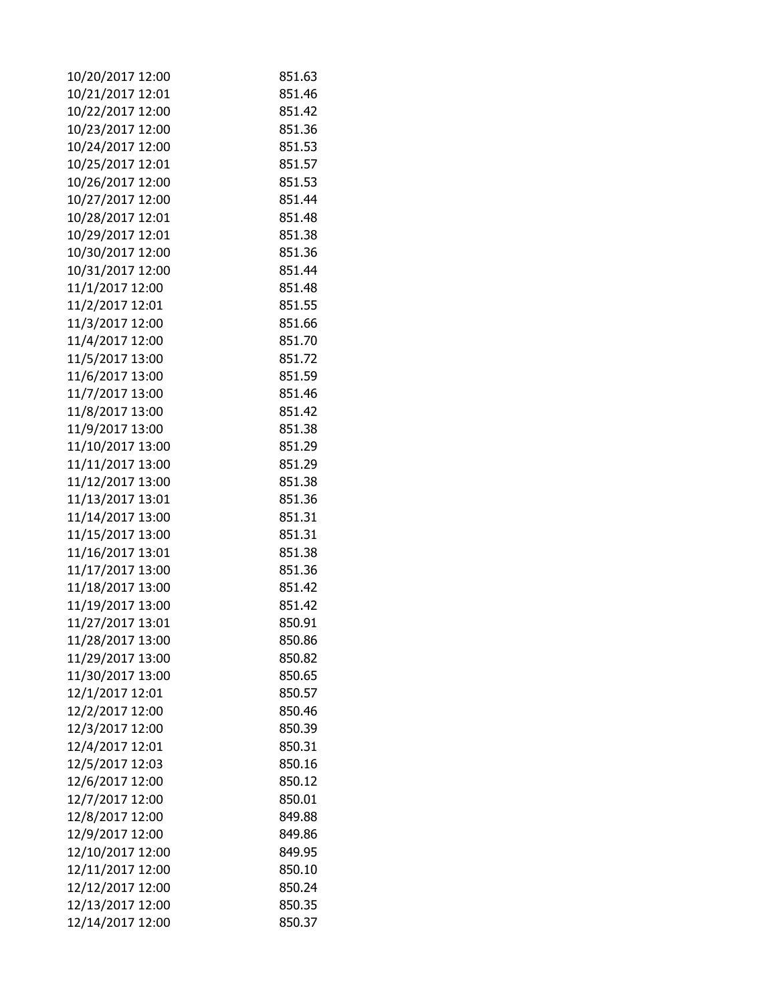| 10/20/2017 12:00 | 851.63 |
|------------------|--------|
| 10/21/2017 12:01 | 851.46 |
| 10/22/2017 12:00 | 851.42 |
| 10/23/2017 12:00 | 851.36 |
| 10/24/2017 12:00 | 851.53 |
| 10/25/2017 12:01 | 851.57 |
| 10/26/2017 12:00 | 851.53 |
| 10/27/2017 12:00 | 851.44 |
| 10/28/2017 12:01 | 851.48 |
| 10/29/2017 12:01 | 851.38 |
| 10/30/2017 12:00 | 851.36 |
| 10/31/2017 12:00 | 851.44 |
| 11/1/2017 12:00  | 851.48 |
| 11/2/2017 12:01  | 851.55 |
| 11/3/2017 12:00  | 851.66 |
| 11/4/2017 12:00  | 851.70 |
| 11/5/2017 13:00  | 851.72 |
| 11/6/2017 13:00  | 851.59 |
| 11/7/2017 13:00  | 851.46 |
| 11/8/2017 13:00  | 851.42 |
| 11/9/2017 13:00  | 851.38 |
| 11/10/2017 13:00 | 851.29 |
| 11/11/2017 13:00 | 851.29 |
| 11/12/2017 13:00 | 851.38 |
| 11/13/2017 13:01 | 851.36 |
| 11/14/2017 13:00 | 851.31 |
| 11/15/2017 13:00 | 851.31 |
| 11/16/2017 13:01 | 851.38 |
| 11/17/2017 13:00 | 851.36 |
| 11/18/2017 13:00 | 851.42 |
| 11/19/2017 13:00 | 851.42 |
| 11/27/2017 13:01 | 850.91 |
| 11/28/2017 13:00 | 850.86 |
| 11/29/2017 13:00 | 850.82 |
| 11/30/2017 13:00 | 850.65 |
| 12/1/2017 12:01  | 850.57 |
| 12/2/2017 12:00  | 850.46 |
| 12/3/2017 12:00  | 850.39 |
| 12/4/2017 12:01  | 850.31 |
| 12/5/2017 12:03  | 850.16 |
| 12/6/2017 12:00  | 850.12 |
| 12/7/2017 12:00  | 850.01 |
| 12/8/2017 12:00  | 849.88 |
| 12/9/2017 12:00  | 849.86 |
| 12/10/2017 12:00 | 849.95 |
| 12/11/2017 12:00 | 850.10 |
| 12/12/2017 12:00 | 850.24 |
| 12/13/2017 12:00 | 850.35 |
| 12/14/2017 12:00 | 850.37 |
|                  |        |